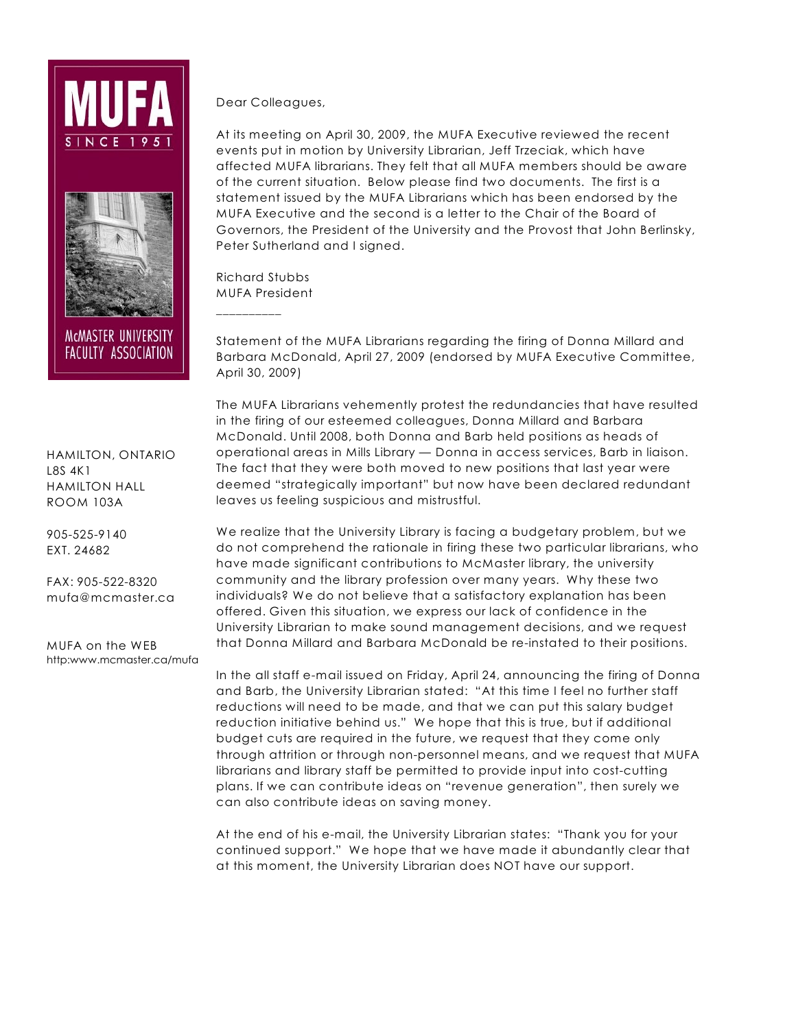



MCMASTER UNIVERSITY **FACULTY ASSOCIATION** 

HAMILTON, ONTARIO L8S 4K1 HAMILTON HALL ROOM 103A

905-525-9140 EXT. 24682

FAX: 905-522-8320 mufa@mcmaster.ca

MUFA on the WEB http:www.mcmaster.ca/mufa Dear Colleagues,

At its meeting on April 30, 2009, the MUFA Executive reviewed the recent events put in motion by University Librarian, Jeff Trzeciak, which have affected MUFA librarians. They felt that all MUFA members should be aware of the current situation. Below please find two documents. The first is a statement issued by the MUFA Librarians which has been endorsed by the MUFA Executive and the second is a letter to the Chair of the Board of Governors, the President of the University and the Provost that John Berlinsky, Peter Sutherland and I signed.

Richard Stubbs MUFA President

\_\_\_\_\_\_\_\_\_\_

Statement of the MUFA Librarians regarding the firing of Donna Millard and Barbara McDonald, April 27, 2009 (endorsed by MUFA Executive Committee, April 30, 2009)

The MUFA Librarians vehemently protest the redundancies that have resulted in the firing of our esteemed colleagues, Donna Millard and Barbara McDonald. Until 2008, both Donna and Barb held positions as heads of operational areas in Mills Library — Donna in access services, Barb in liaison. The fact that they were both moved to new positions that last year were deemed "strategically important" but now have been declared redundant leaves us feeling suspicious and mistrustful.

We realize that the University Library is facing a budgetary problem, but we do not comprehend the rationale in firing these two particular librarians, who have made significant contributions to McMaster library, the university community and the library profession over many years. Why these two individuals? We do not believe that a satisfactory explanation has been offered. Given this situation, we express our lack of confidence in the University Librarian to make sound management decisions, and we request that Donna Millard and Barbara McDonald be re-instated to their positions.

In the all staff e-mail issued on Friday, April 24, announcing the firing of Donna and Barb, the University Librarian stated: "At this time I feel no further staff reductions will need to be made, and that we can put this salary budget reduction initiative behind us." We hope that this is true, but if additional budget cuts are required in the future, we request that they come only through attrition or through non-personnel means, and we request that MUFA librarians and library staff be permitted to provide input into cost-cutting plans. If we can contribute ideas on "revenue generation", then surely we can also contribute ideas on saving money.

At the end of his e-mail, the University Librarian states: "Thank you for your continued support." We hope that we have made it abundantly clear that at this moment, the University Librarian does NOT have our support.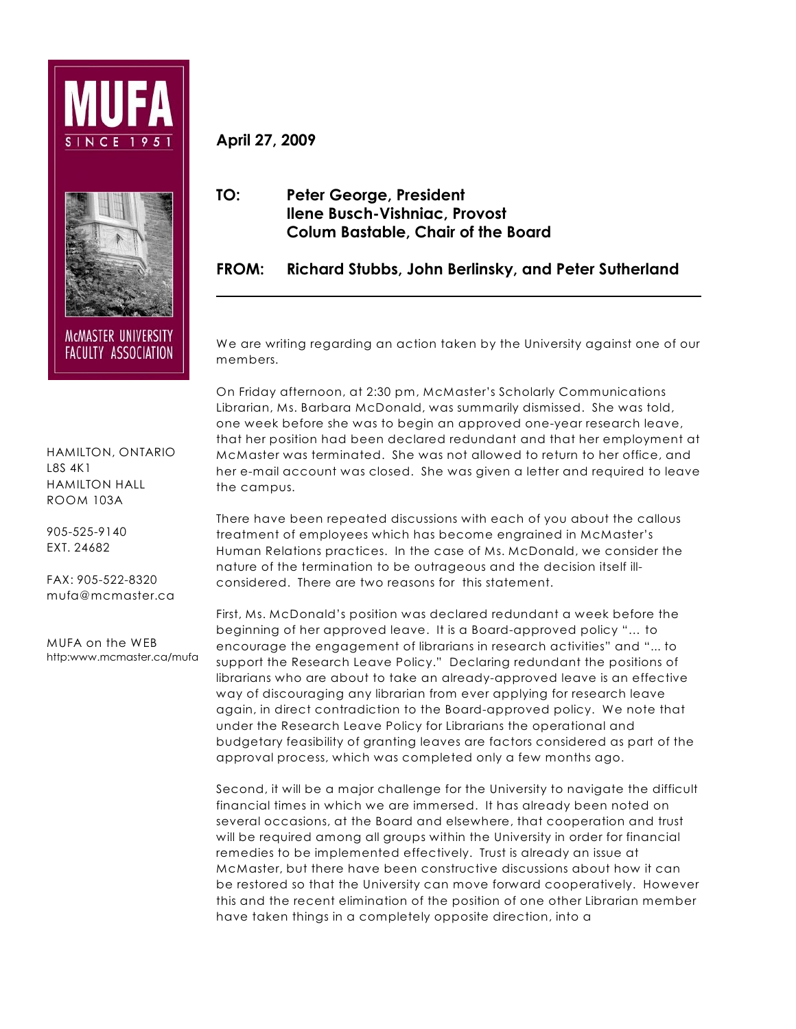



MCMASTER UNIVERSITY **FACULTY ASSOCIATION** 

HAMILTON, ONTARIO L8S 4K1 HAMILTON HALL ROOM 103A

905-525-9140 EXT. 24682

FAX: 905-522-8320 mufa@mcmaster.ca

MUFA on the WEB http:www.mcmaster.ca/mufa **April 27, 2009**

## **TO: Peter George, President Ilene Busch-Vishniac, Provost Colum Bastable, Chair of the Board**

**FROM: Richard Stubbs, John Berlinsky, and Peter Sutherland**

We are writing regarding an action taken by the University against one of our members.

On Friday afternoon, at 2:30 pm, McMaster's Scholarly Communications Librarian, Ms. Barbara McDonald, was summarily dismissed. She was told, one week before she was to begin an approved one-year research leave, that her position had been declared redundant and that her employment at McMaster was terminated. She was not allowed to return to her office, and her e-mail account was closed. She was given a letter and required to leave the campus.

There have been repeated discussions with each of you about the callous treatment of employees which has become engrained in McMaster's Human Relations practices. In the case of Ms. McDonald, we consider the nature of the termination to be outrageous and the decision itself illconsidered. There are two reasons for this statement.

First, Ms. McDonald's position was declared redundant a week before the beginning of her approved leave. It is a Board-approved policy "… to encourage the engagement of librarians in research activities" and "... to support the Research Leave Policy." Declaring redundant the positions of librarians who are about to take an already-approved leave is an effective way of discouraging any librarian from ever applying for research leave again, in direct contradiction to the Board-approved policy. We note that under the Research Leave Policy for Librarians the operational and budgetary feasibility of granting leaves are factors considered as part of the approval process, which was completed only a few months ago.

Second, it will be a major challenge for the University to navigate the difficult financial times in which we are immersed. It has already been noted on several occasions, at the Board and elsewhere, that cooperation and trust will be required among all groups within the University in order for financial remedies to be implemented effectively. Trust is already an issue at McMaster, but there have been constructive discussions about how it can be restored so that the University can move forward cooperatively. However this and the recent elimination of the position of one other Librarian member have taken things in a completely opposite direction, into a